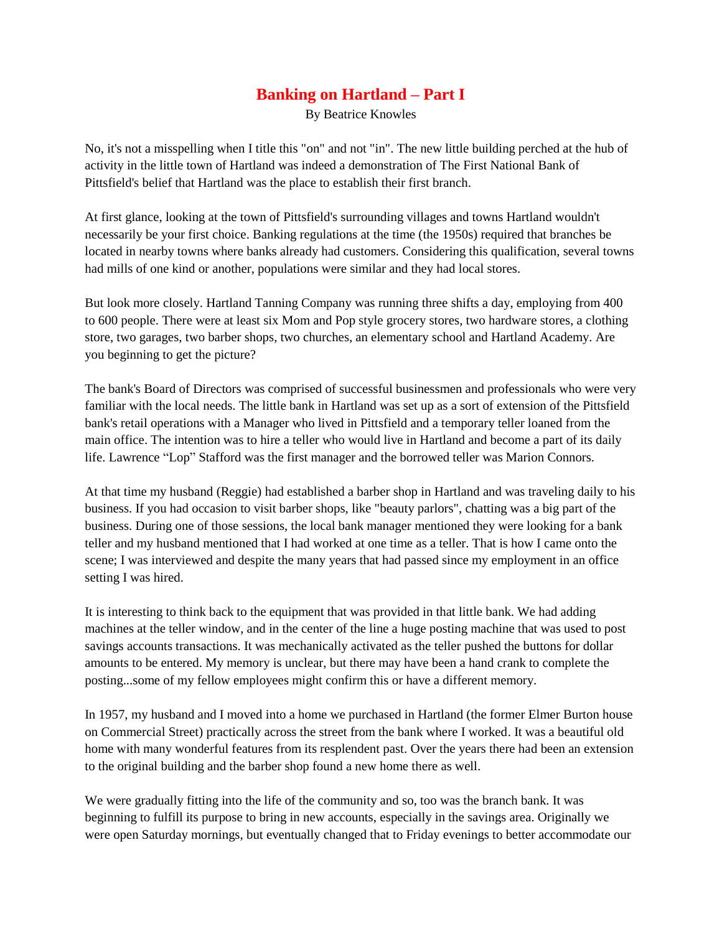## **Banking on Hartland – Part I**

By Beatrice Knowles

No, it's not a misspelling when I title this "on" and not "in". The new little building perched at the hub of activity in the little town of Hartland was indeed a demonstration of The First National Bank of Pittsfield's belief that Hartland was the place to establish their first branch.

At first glance, looking at the town of Pittsfield's surrounding villages and towns Hartland wouldn't necessarily be your first choice. Banking regulations at the time (the 1950s) required that branches be located in nearby towns where banks already had customers. Considering this qualification, several towns had mills of one kind or another, populations were similar and they had local stores.

But look more closely. Hartland Tanning Company was running three shifts a day, employing from 400 to 600 people. There were at least six Mom and Pop style grocery stores, two hardware stores, a clothing store, two garages, two barber shops, two churches, an elementary school and Hartland Academy. Are you beginning to get the picture?

The bank's Board of Directors was comprised of successful businessmen and professionals who were very familiar with the local needs. The little bank in Hartland was set up as a sort of extension of the Pittsfield bank's retail operations with a Manager who lived in Pittsfield and a temporary teller loaned from the main office. The intention was to hire a teller who would live in Hartland and become a part of its daily life. Lawrence "Lop" Stafford was the first manager and the borrowed teller was Marion Connors.

At that time my husband (Reggie) had established a barber shop in Hartland and was traveling daily to his business. If you had occasion to visit barber shops, like "beauty parlors", chatting was a big part of the business. During one of those sessions, the local bank manager mentioned they were looking for a bank teller and my husband mentioned that I had worked at one time as a teller. That is how I came onto the scene; I was interviewed and despite the many years that had passed since my employment in an office setting I was hired.

It is interesting to think back to the equipment that was provided in that little bank. We had adding machines at the teller window, and in the center of the line a huge posting machine that was used to post savings accounts transactions. It was mechanically activated as the teller pushed the buttons for dollar amounts to be entered. My memory is unclear, but there may have been a hand crank to complete the posting...some of my fellow employees might confirm this or have a different memory.

In 1957, my husband and I moved into a home we purchased in Hartland (the former Elmer Burton house on Commercial Street) practically across the street from the bank where I worked. It was a beautiful old home with many wonderful features from its resplendent past. Over the years there had been an extension to the original building and the barber shop found a new home there as well.

We were gradually fitting into the life of the community and so, too was the branch bank. It was beginning to fulfill its purpose to bring in new accounts, especially in the savings area. Originally we were open Saturday mornings, but eventually changed that to Friday evenings to better accommodate our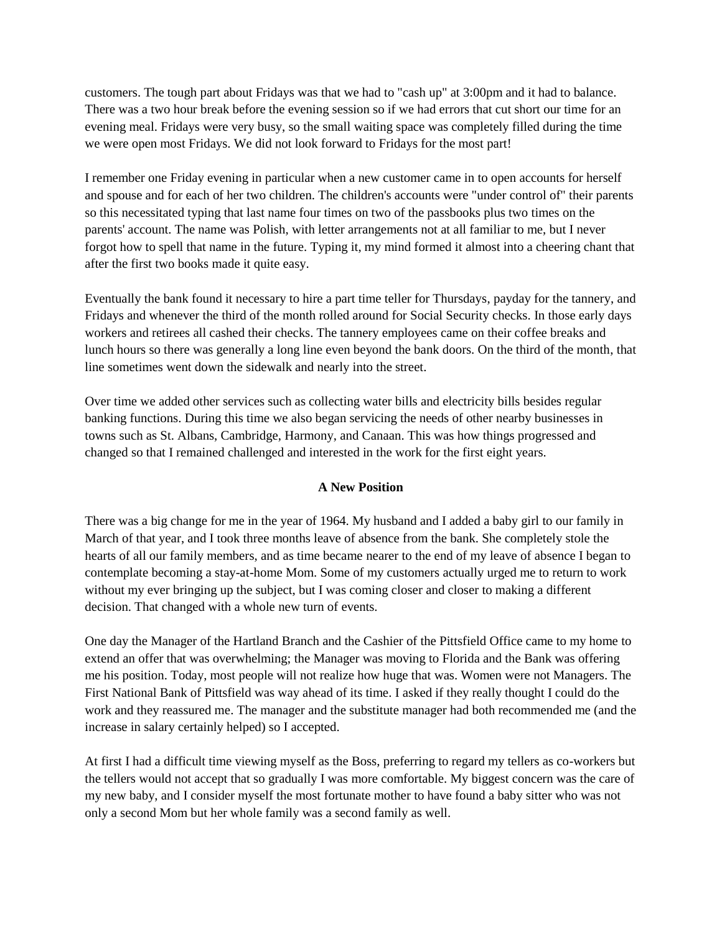customers. The tough part about Fridays was that we had to "cash up" at 3:00pm and it had to balance. There was a two hour break before the evening session so if we had errors that cut short our time for an evening meal. Fridays were very busy, so the small waiting space was completely filled during the time we were open most Fridays. We did not look forward to Fridays for the most part!

I remember one Friday evening in particular when a new customer came in to open accounts for herself and spouse and for each of her two children. The children's accounts were "under control of" their parents so this necessitated typing that last name four times on two of the passbooks plus two times on the parents' account. The name was Polish, with letter arrangements not at all familiar to me, but I never forgot how to spell that name in the future. Typing it, my mind formed it almost into a cheering chant that after the first two books made it quite easy.

Eventually the bank found it necessary to hire a part time teller for Thursdays, payday for the tannery, and Fridays and whenever the third of the month rolled around for Social Security checks. In those early days workers and retirees all cashed their checks. The tannery employees came on their coffee breaks and lunch hours so there was generally a long line even beyond the bank doors. On the third of the month, that line sometimes went down the sidewalk and nearly into the street.

Over time we added other services such as collecting water bills and electricity bills besides regular banking functions. During this time we also began servicing the needs of other nearby businesses in towns such as St. Albans, Cambridge, Harmony, and Canaan. This was how things progressed and changed so that I remained challenged and interested in the work for the first eight years.

## **A New Position**

There was a big change for me in the year of 1964. My husband and I added a baby girl to our family in March of that year, and I took three months leave of absence from the bank. She completely stole the hearts of all our family members, and as time became nearer to the end of my leave of absence I began to contemplate becoming a stay-at-home Mom. Some of my customers actually urged me to return to work without my ever bringing up the subject, but I was coming closer and closer to making a different decision. That changed with a whole new turn of events.

One day the Manager of the Hartland Branch and the Cashier of the Pittsfield Office came to my home to extend an offer that was overwhelming; the Manager was moving to Florida and the Bank was offering me his position. Today, most people will not realize how huge that was. Women were not Managers. The First National Bank of Pittsfield was way ahead of its time. I asked if they really thought I could do the work and they reassured me. The manager and the substitute manager had both recommended me (and the increase in salary certainly helped) so I accepted.

At first I had a difficult time viewing myself as the Boss, preferring to regard my tellers as co-workers but the tellers would not accept that so gradually I was more comfortable. My biggest concern was the care of my new baby, and I consider myself the most fortunate mother to have found a baby sitter who was not only a second Mom but her whole family was a second family as well.